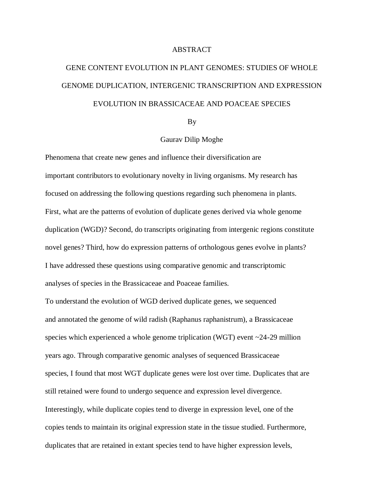## ABSTRACT

## GENE CONTENT EVOLUTION IN PLANT GENOMES: STUDIES OF WHOLE GENOME DUPLICATION, INTERGENIC TRANSCRIPTION AND EXPRESSION EVOLUTION IN BRASSICACEAE AND POACEAE SPECIES

By

## Gaurav Dilip Moghe

Phenomena that create new genes and influence their diversification are important contributors to evolutionary novelty in living organisms. My research has focused on addressing the following questions regarding such phenomena in plants. First, what are the patterns of evolution of duplicate genes derived via whole genome duplication (WGD)? Second, do transcripts originating from intergenic regions constitute novel genes? Third, how do expression patterns of orthologous genes evolve in plants? I have addressed these questions using comparative genomic and transcriptomic analyses of species in the Brassicaceae and Poaceae families.

To understand the evolution of WGD derived duplicate genes, we sequenced and annotated the genome of wild radish (Raphanus raphanistrum), a Brassicaceae species which experienced a whole genome triplication (WGT) event ~24-29 million years ago. Through comparative genomic analyses of sequenced Brassicaceae species, I found that most WGT duplicate genes were lost over time. Duplicates that are still retained were found to undergo sequence and expression level divergence. Interestingly, while duplicate copies tend to diverge in expression level, one of the copies tends to maintain its original expression state in the tissue studied. Furthermore, duplicates that are retained in extant species tend to have higher expression levels,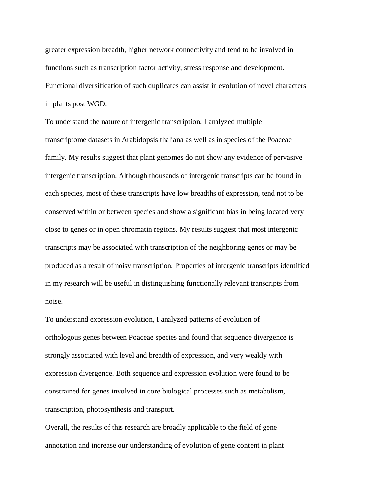greater expression breadth, higher network connectivity and tend to be involved in functions such as transcription factor activity, stress response and development. Functional diversification of such duplicates can assist in evolution of novel characters in plants post WGD.

To understand the nature of intergenic transcription, I analyzed multiple transcriptome datasets in Arabidopsis thaliana as well as in species of the Poaceae family. My results suggest that plant genomes do not show any evidence of pervasive intergenic transcription. Although thousands of intergenic transcripts can be found in each species, most of these transcripts have low breadths of expression, tend not to be conserved within or between species and show a significant bias in being located very close to genes or in open chromatin regions. My results suggest that most intergenic transcripts may be associated with transcription of the neighboring genes or may be produced as a result of noisy transcription. Properties of intergenic transcripts identified in my research will be useful in distinguishing functionally relevant transcripts from noise.

To understand expression evolution, I analyzed patterns of evolution of orthologous genes between Poaceae species and found that sequence divergence is strongly associated with level and breadth of expression, and very weakly with expression divergence. Both sequence and expression evolution were found to be constrained for genes involved in core biological processes such as metabolism, transcription, photosynthesis and transport.

Overall, the results of this research are broadly applicable to the field of gene annotation and increase our understanding of evolution of gene content in plant